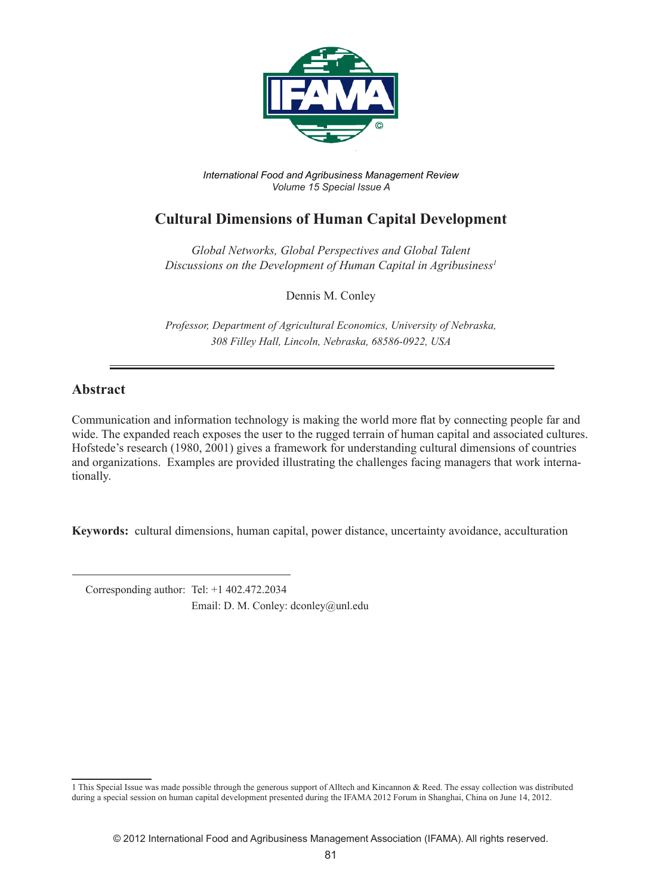

*International Food and Agribusiness Management Review Volume 15 Special Issue A*

# **Cultural Dimensions of Human Capital Development**

*Global Networks, Global Perspectives and Global Talent Discussions on the Development of Human Capital in Agribusiness1*

Dennis M. Conley

*Professor, Department of Agricultural Economics, University of Nebraska, 308 Filley Hall, Lincoln, Nebraska, 68586-0922, USA*

## **Abstract**

Communication and information technology is making the world more flat by connecting people far and wide. The expanded reach exposes the user to the rugged terrain of human capital and associated cultures. Hofstede's research (1980, 2001) gives a framework for understanding cultural dimensions of countries and organizations. Examples are provided illustrating the challenges facing managers that work internationally.

**Keywords:** cultural dimensions, human capital, power distance, uncertainty avoidance, acculturation

 Corresponding author: Tel: +1 402.472.2034 Email: D. M. Conley: dconley@unl.edu

<sup>1</sup> This Special Issue was made possible through the generous support of Alltech and Kincannon & Reed. The essay collection was distributed during a special session on human capital development presented during the IFAMA 2012 Forum in Shanghai, China on June 14, 2012.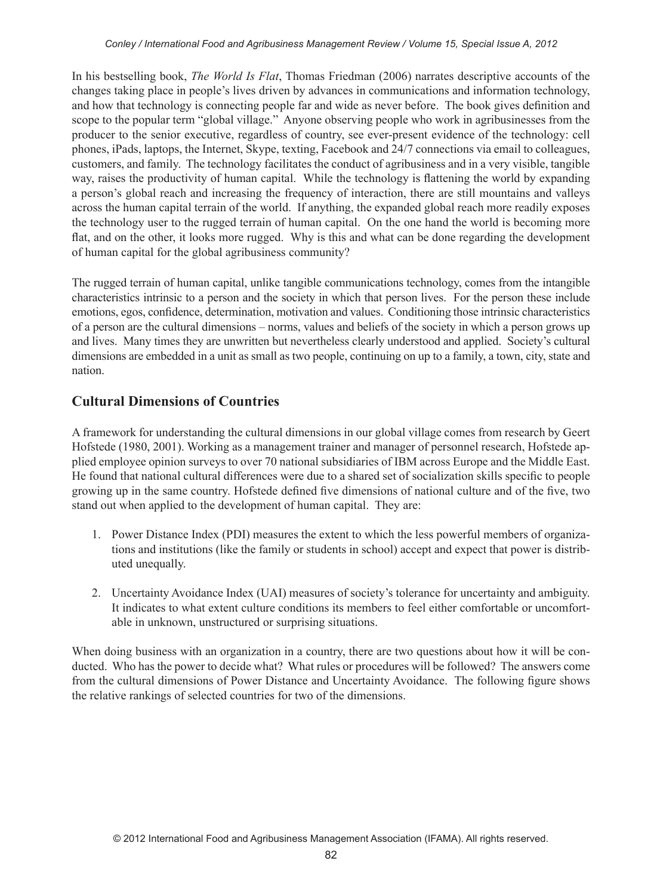In his bestselling book, *The World Is Flat*, Thomas Friedman (2006) narrates descriptive accounts of the changes taking place in people's lives driven by advances in communications and information technology, and how that technology is connecting people far and wide as never before. The book gives definition and scope to the popular term "global village." Anyone observing people who work in agribusinesses from the producer to the senior executive, regardless of country, see ever-present evidence of the technology: cell phones, iPads, laptops, the Internet, Skype, texting, Facebook and 24/7 connections via email to colleagues, customers, and family. The technology facilitates the conduct of agribusiness and in a very visible, tangible way, raises the productivity of human capital. While the technology is flattening the world by expanding a person's global reach and increasing the frequency of interaction, there are still mountains and valleys across the human capital terrain of the world. If anything, the expanded global reach more readily exposes the technology user to the rugged terrain of human capital. On the one hand the world is becoming more flat, and on the other, it looks more rugged. Why is this and what can be done regarding the development of human capital for the global agribusiness community?

The rugged terrain of human capital, unlike tangible communications technology, comes from the intangible characteristics intrinsic to a person and the society in which that person lives. For the person these include emotions, egos, confidence, determination, motivation and values. Conditioning those intrinsic characteristics of a person are the cultural dimensions – norms, values and beliefs of the society in which a person grows up and lives. Many times they are unwritten but nevertheless clearly understood and applied. Society's cultural dimensions are embedded in a unit as small as two people, continuing on up to a family, a town, city, state and nation.

## **Cultural Dimensions of Countries**

A framework for understanding the cultural dimensions in our global village comes from research by Geert Hofstede (1980, 2001). Working as a management trainer and manager of personnel research, Hofstede applied employee opinion surveys to over 70 national subsidiaries of IBM across Europe and the Middle East. He found that national cultural differences were due to a shared set of socialization skills specific to people growing up in the same country. Hofstede defined five dimensions of national culture and of the five, two stand out when applied to the development of human capital. They are:

- 1. Power Distance Index (PDI) measures the extent to which the less powerful members of organizations and institutions (like the family or students in school) accept and expect that power is distributed unequally.
- 2. Uncertainty Avoidance Index (UAI) measures of society's tolerance for uncertainty and ambiguity. It indicates to what extent culture conditions its members to feel either comfortable or uncomfortable in unknown, unstructured or surprising situations.

When doing business with an organization in a country, there are two questions about how it will be conducted. Who has the power to decide what? What rules or procedures will be followed? The answers come from the cultural dimensions of Power Distance and Uncertainty Avoidance. The following figure shows the relative rankings of selected countries for two of the dimensions.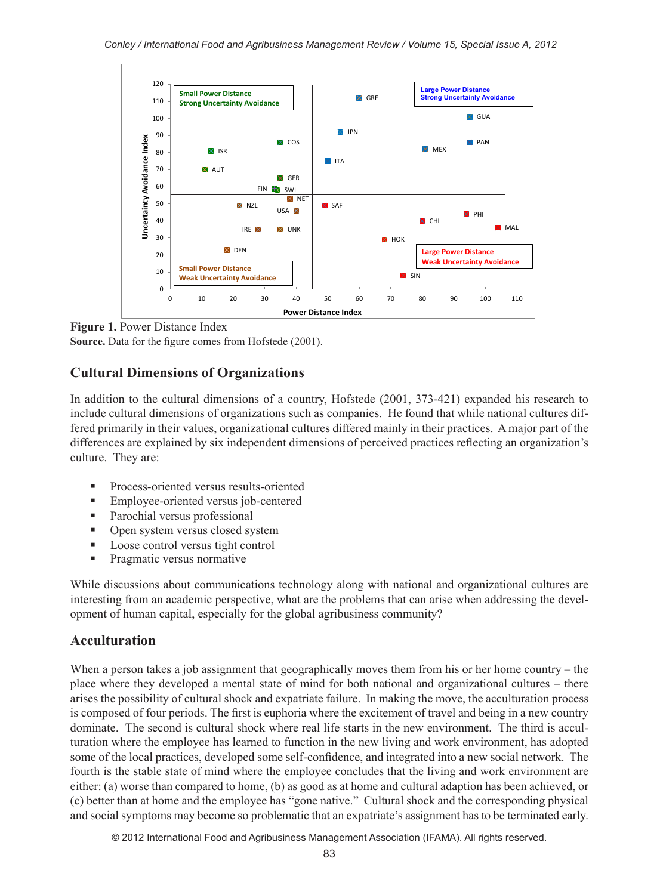

**Figure 1.** Power Distance Index **Source.** Data for the figure comes from Hofstede (2001).

## **Cultural Dimensions of Organizations**

In addition to the cultural dimensions of a country, Hofstede (2001, 373-421) expanded his research to include cultural dimensions of organizations such as companies. He found that while national cultures differed primarily in their values, organizational cultures differed mainly in their practices. A major part of the differences are explained by six independent dimensions of perceived practices reflecting an organization's culture. They are:

- **Process-oriented versus results-oriented**
- **Employee-oriented versus job-centered**
- Parochial versus professional
- Open system versus closed system
- **Loose control versus tight control**
- **Pragmatic versus normative**

While discussions about communications technology along with national and organizational cultures are interesting from an academic perspective, what are the problems that can arise when addressing the development of human capital, especially for the global agribusiness community?

## **Acculturation**

When a person takes a job assignment that geographically moves them from his or her home country – the place where they developed a mental state of mind for both national and organizational cultures – there arises the possibility of cultural shock and expatriate failure. In making the move, the acculturation process is composed of four periods. The first is euphoria where the excitement of travel and being in a new country dominate. The second is cultural shock where real life starts in the new environment. The third is acculturation where the employee has learned to function in the new living and work environment, has adopted some of the local practices, developed some self-confidence, and integrated into a new social network. The fourth is the stable state of mind where the employee concludes that the living and work environment are either: (a) worse than compared to home, (b) as good as at home and cultural adaption has been achieved, or (c) better than at home and the employee has "gone native." Cultural shock and the corresponding physical and social symptoms may become so problematic that an expatriate's assignment has to be terminated early.

© 2012 International Food and Agribusiness Management Association (IFAMA). All rights reserved.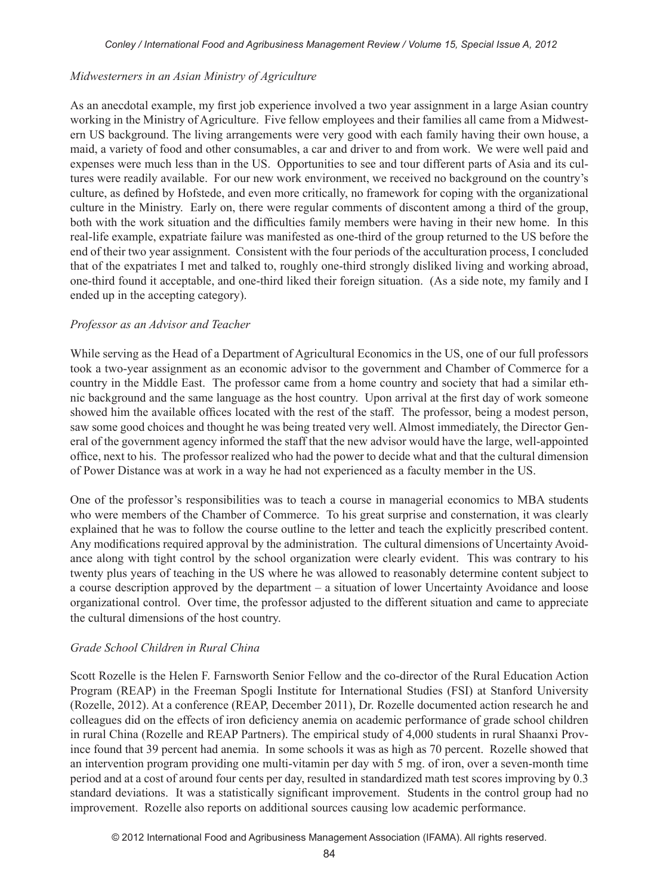#### *Midwesterners in an Asian Ministry of Agriculture*

As an anecdotal example, my first job experience involved a two year assignment in a large Asian country working in the Ministry of Agriculture. Five fellow employees and their families all came from a Midwestern US background. The living arrangements were very good with each family having their own house, a maid, a variety of food and other consumables, a car and driver to and from work. We were well paid and expenses were much less than in the US. Opportunities to see and tour different parts of Asia and its cultures were readily available. For our new work environment, we received no background on the country's culture, as defined by Hofstede, and even more critically, no framework for coping with the organizational culture in the Ministry. Early on, there were regular comments of discontent among a third of the group, both with the work situation and the difficulties family members were having in their new home. In this real-life example, expatriate failure was manifested as one-third of the group returned to the US before the end of their two year assignment. Consistent with the four periods of the acculturation process, I concluded that of the expatriates I met and talked to, roughly one-third strongly disliked living and working abroad, one-third found it acceptable, and one-third liked their foreign situation. (As a side note, my family and I ended up in the accepting category).

#### *Professor as an Advisor and Teacher*

While serving as the Head of a Department of Agricultural Economics in the US, one of our full professors took a two-year assignment as an economic advisor to the government and Chamber of Commerce for a country in the Middle East. The professor came from a home country and society that had a similar ethnic background and the same language as the host country. Upon arrival at the first day of work someone showed him the available offices located with the rest of the staff. The professor, being a modest person, saw some good choices and thought he was being treated very well. Almost immediately, the Director General of the government agency informed the staff that the new advisor would have the large, well-appointed office, next to his. The professor realized who had the power to decide what and that the cultural dimension of Power Distance was at work in a way he had not experienced as a faculty member in the US.

One of the professor's responsibilities was to teach a course in managerial economics to MBA students who were members of the Chamber of Commerce. To his great surprise and consternation, it was clearly explained that he was to follow the course outline to the letter and teach the explicitly prescribed content. Any modifications required approval by the administration. The cultural dimensions of Uncertainty Avoidance along with tight control by the school organization were clearly evident. This was contrary to his twenty plus years of teaching in the US where he was allowed to reasonably determine content subject to a course description approved by the department – a situation of lower Uncertainty Avoidance and loose organizational control. Over time, the professor adjusted to the different situation and came to appreciate the cultural dimensions of the host country.

#### *Grade School Children in Rural China*

Scott Rozelle is the Helen F. Farnsworth Senior Fellow and the co-director of the Rural Education Action Program (REAP) in the Freeman Spogli Institute for International Studies (FSI) at Stanford University (Rozelle, 2012). At a conference (REAP, December 2011), Dr. Rozelle documented action research he and colleagues did on the effects of iron deficiency anemia on academic performance of grade school children in rural China (Rozelle and REAP Partners). The empirical study of 4,000 students in rural Shaanxi Province found that 39 percent had anemia. In some schools it was as high as 70 percent. Rozelle showed that an intervention program providing one multi-vitamin per day with 5 mg. of iron, over a seven-month time period and at a cost of around four cents per day, resulted in standardized math test scores improving by 0.3 standard deviations. It was a statistically significant improvement. Students in the control group had no improvement. Rozelle also reports on additional sources causing low academic performance.